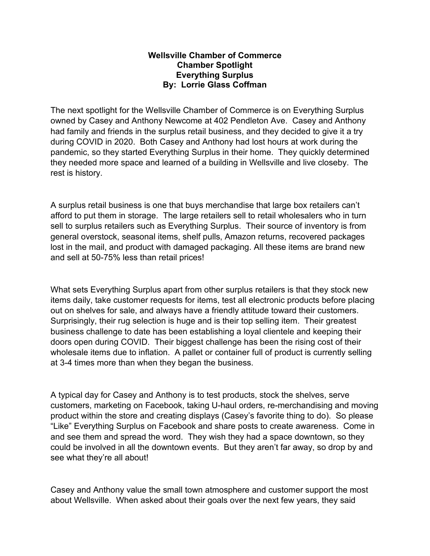## **Wellsville Chamber of Commerce Chamber Spotlight Everything Surplus By: Lorrie Glass Coffman**

The next spotlight for the Wellsville Chamber of Commerce is on Everything Surplus owned by Casey and Anthony Newcome at 402 Pendleton Ave. Casey and Anthony had family and friends in the surplus retail business, and they decided to give it a try during COVID in 2020. Both Casey and Anthony had lost hours at work during the pandemic, so they started Everything Surplus in their home. They quickly determined they needed more space and learned of a building in Wellsville and live closeby. The rest is history.

A surplus retail business is one that buys merchandise that large box retailers can't afford to put them in storage. The large retailers sell to retail wholesalers who in turn sell to surplus retailers such as Everything Surplus. Their source of inventory is from general overstock, seasonal items, shelf pulls, Amazon returns, recovered packages lost in the mail, and product with damaged packaging. All these items are brand new and sell at 50-75% less than retail prices!

What sets Everything Surplus apart from other surplus retailers is that they stock new items daily, take customer requests for items, test all electronic products before placing out on shelves for sale, and always have a friendly attitude toward their customers. Surprisingly, their rug selection is huge and is their top selling item. Their greatest business challenge to date has been establishing a loyal clientele and keeping their doors open during COVID. Their biggest challenge has been the rising cost of their wholesale items due to inflation. A pallet or container full of product is currently selling at 3-4 times more than when they began the business.

A typical day for Casey and Anthony is to test products, stock the shelves, serve customers, marketing on Facebook, taking U-haul orders, re-merchandising and moving product within the store and creating displays (Casey's favorite thing to do). So please "Like" Everything Surplus on Facebook and share posts to create awareness. Come in and see them and spread the word. They wish they had a space downtown, so they could be involved in all the downtown events. But they aren't far away, so drop by and see what they're all about!

Casey and Anthony value the small town atmosphere and customer support the most about Wellsville. When asked about their goals over the next few years, they said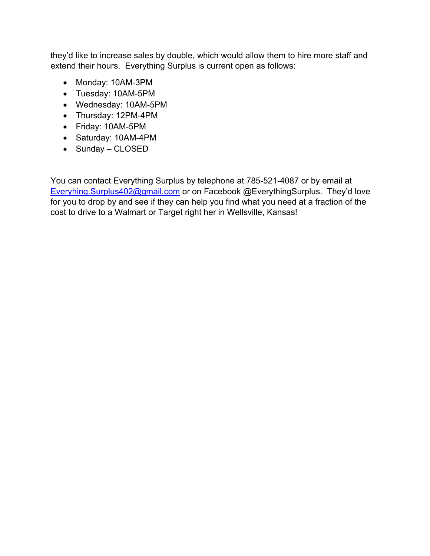they'd like to increase sales by double, which would allow them to hire more staff and extend their hours. Everything Surplus is current open as follows:

- Monday: 10AM-3PM
- Tuesday: 10AM-5PM
- Wednesday: 10AM-5PM
- Thursday: 12PM-4PM
- Friday: 10AM-5PM
- Saturday: 10AM-4PM
- Sunday CLOSED

You can contact Everything Surplus by telephone at 785-521-4087 or by email at [Everyhing.Surplus402@gmail.com](mailto:Everyhing.Surplus402@gmail.com) or on Facebook @EverythingSurplus. They'd love for you to drop by and see if they can help you find what you need at a fraction of the cost to drive to a Walmart or Target right her in Wellsville, Kansas!